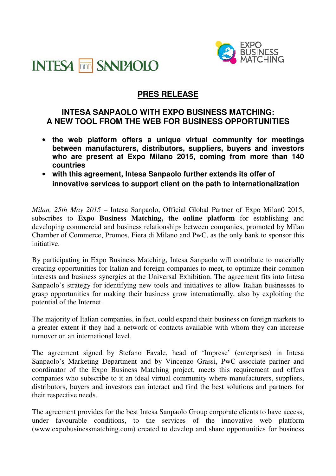



## **PRES RELEASE**

## **INTESA SANPAOLO WITH EXPO BUSINESS MATCHING: A NEW TOOL FROM THE WEB FOR BUSINESS OPPORTUNITIES**

- **the web platform offers a unique virtual community for meetings between manufacturers, distributors, suppliers, buyers and investors who are present at Expo Milano 2015, coming from more than 140 countries**
- **with this agreement, Intesa Sanpaolo further extends its offer of innovative services to support client on the path to internationalization**

*Milan, 25th May 2015 –* Intesa Sanpaolo, Official Global Partner of Expo Milan0 2015, subscribes to **Expo Business Matching, the online platform** for establishing and developing commercial and business relationships between companies, promoted by Milan Chamber of Commerce, Promos, Fiera di Milano and PwC, as the only bank to sponsor this initiative.

By participating in Expo Business Matching, Intesa Sanpaolo will contribute to materially creating opportunities for Italian and foreign companies to meet, to optimize their common interests and business synergies at the Universal Exhibition. The agreement fits into Intesa Sanpaolo's strategy for identifying new tools and initiatives to allow Italian businesses to grasp opportunities for making their business grow internationally, also by exploiting the potential of the Internet.

The majority of Italian companies, in fact, could expand their business on foreign markets to a greater extent if they had a network of contacts available with whom they can increase turnover on an international level.

The agreement signed by Stefano Favale, head of 'Imprese' (enterprises) in Intesa Sanpaolo's Marketing Department and by Vincenzo Grassi, PwC associate partner and coordinator of the Expo Business Matching project, meets this requirement and offers companies who subscribe to it an ideal virtual community where manufacturers, suppliers, distributors, buyers and investors can interact and find the best solutions and partners for their respective needs.

The agreement provides for the best Intesa Sanpaolo Group corporate clients to have access, under favourable conditions, to the services of the innovative web platform (www.expobusinessmatching.com) created to develop and share opportunities for business